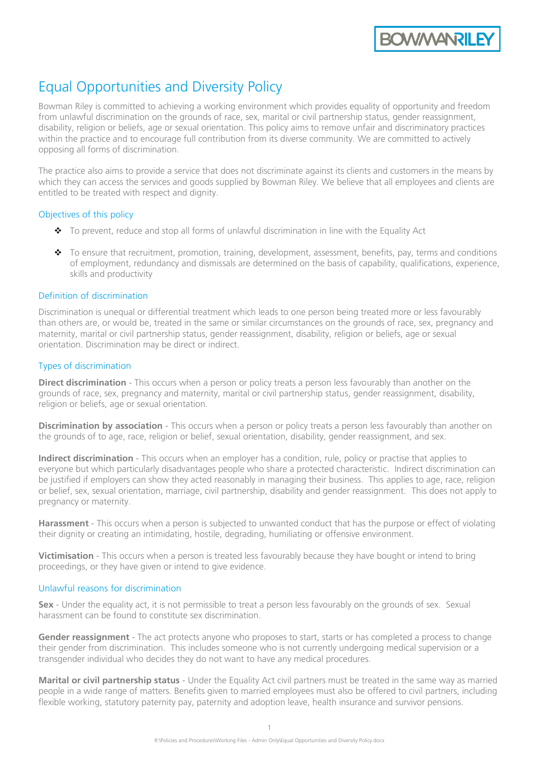**BOWWANRILE** 

# Equal Opportunities and Diversity Policy

Bowman Riley is committed to achieving a working environment which provides equality of opportunity and freedom from unlawful discrimination on the grounds of race, sex, marital or civil partnership status, gender reassignment, disability, religion or beliefs, age or sexual orientation. This policy aims to remove unfair and discriminatory practices within the practice and to encourage full contribution from its diverse community. We are committed to actively opposing all forms of discrimination.

The practice also aims to provide a service that does not discriminate against its clients and customers in the means by which they can access the services and goods supplied by Bowman Riley. We believe that all employees and clients are entitled to be treated with respect and dignity.

## Objectives of this policy

- ❖ To prevent, reduce and stop all forms of unlawful discrimination in line with the Equality Act
- ❖ To ensure that recruitment, promotion, training, development, assessment, benefits, pay, terms and conditions of employment, redundancy and dismissals are determined on the basis of capability, qualifications, experience, skills and productivity

# Definition of discrimination

Discrimination is unequal or differential treatment which leads to one person being treated more or less favourably than others are, or would be, treated in the same or similar circumstances on the grounds of race, sex, pregnancy and maternity, marital or civil partnership status, gender reassignment, disability, religion or beliefs, age or sexual orientation. Discrimination may be direct or indirect.

# Types of discrimination

**Direct discrimination** - This occurs when a person or policy treats a person less favourably than another on the grounds of race, sex, pregnancy and maternity, marital or civil partnership status, gender reassignment, disability, religion or beliefs, age or sexual orientation.

**Discrimination by association** - This occurs when a person or policy treats a person less favourably than another on the grounds of to age, race, religion or belief, sexual orientation, disability, gender reassignment, and sex.

**Indirect discrimination** - This occurs when an employer has a condition, rule, policy or practise that applies to everyone but which particularly disadvantages people who share a protected characteristic. Indirect discrimination can be justified if employers can show they acted reasonably in managing their business. This applies to age, race, religion or belief, sex, sexual orientation, marriage, civil partnership, disability and gender reassignment. This does not apply to pregnancy or maternity.

**Harassment** - This occurs when a person is subjected to unwanted conduct that has the purpose or effect of violating their dignity or creating an intimidating, hostile, degrading, humiliating or offensive environment.

**Victimisation** - This occurs when a person is treated less favourably because they have bought or intend to bring proceedings, or they have given or intend to give evidence.

# Unlawful reasons for discrimination

**Sex** - Under the equality act, it is not permissible to treat a person less favourably on the grounds of sex. Sexual harassment can be found to constitute sex discrimination.

**Gender reassignment** - The act protects anyone who proposes to start, starts or has completed a process to change their gender from discrimination. This includes someone who is not currently undergoing medical supervision or a transgender individual who decides they do not want to have any medical procedures.

**Marital or civil partnership status** - Under the Equality Act civil partners must be treated in the same way as married people in a wide range of matters. Benefits given to married employees must also be offered to civil partners, including flexible working, statutory paternity pay, paternity and adoption leave, health insurance and survivor pensions.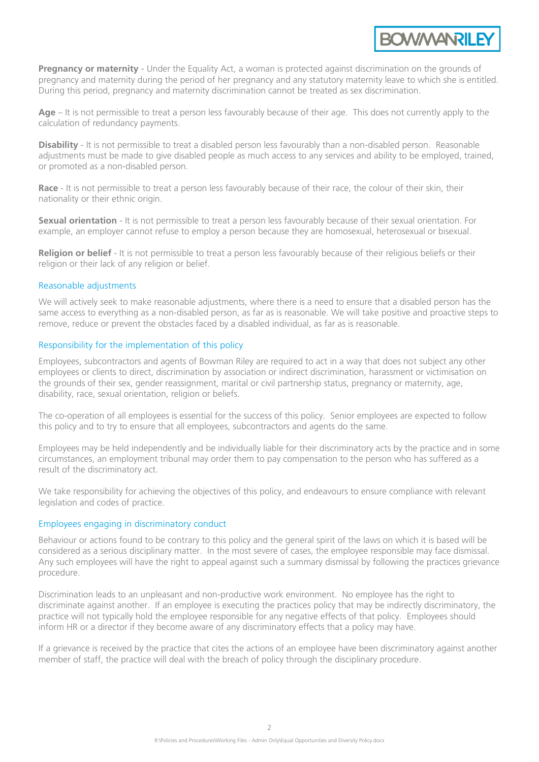**Pregnancy or maternity** - Under the Equality Act, a woman is protected against discrimination on the grounds of pregnancy and maternity during the period of her pregnancy and any [statutory maternity leave](http://www.freelanceadvisor.co.uk/go-freelance-guide/maternity-leave-and-pay/) to which she is entitled. During this period, pregnancy and maternity discrimination cannot be treated as sex discrimination.

**BOWWANRILE** 

Age – It is not permissible to treat a person less favourably because of their age. This does not currently apply to the calculation of redundancy payments.

**Disability** - It is not permissible to treat a disabled person less favourably than a non-disabled person. Reasonable adjustments must be made to give disabled people as much access to any services and ability to be employed, trained, or promoted as a non-disabled person.

**Race** - It is not permissible to treat a person less favourably because of their race, the colour of their skin, their nationality or their ethnic origin.

**Sexual orientation** - It is not permissible to treat a person less favourably because of their sexual orientation. For example, an employer cannot refuse to employ a person because they are homosexual, heterosexual or bisexual.

**Religion or belief** - It is not permissible to treat a person less favourably because of their religious beliefs or their religion or their lack of any religion or belief.

#### Reasonable adjustments

We will actively seek to make reasonable adjustments, where there is a need to ensure that a disabled person has the same access to everything as a non-disabled person, as far as is reasonable. We will take positive and proactive steps to remove, reduce or prevent the obstacles faced by a disabled individual, as far as is reasonable.

#### Responsibility for the implementation of this policy

Employees, subcontractors and agents of Bowman Riley are required to act in a way that does not subject any other employees or clients to direct, discrimination by association or indirect discrimination, harassment or victimisation on the grounds of their sex, gender reassignment, marital or civil partnership status, pregnancy or maternity, age, disability, race, sexual orientation, religion or beliefs.

The co-operation of all employees is essential for the success of this policy. Senior employees are expected to follow this policy and to try to ensure that all employees, subcontractors and agents do the same.

Employees may be held independently and be individually liable for their discriminatory acts by the practice and in some circumstances, an employment tribunal may order them to pay compensation to the person who has suffered as a result of the discriminatory act.

We take responsibility for achieving the objectives of this policy, and endeavours to ensure compliance with relevant legislation and codes of practice.

#### Employees engaging in discriminatory conduct

Behaviour or actions found to be contrary to this policy and the general spirit of the laws on which it is based will be considered as a serious disciplinary matter. In the most severe of cases, the employee responsible may face dismissal. Any such employees will have the right to appeal against such a summary dismissal by following the practices grievance procedure.

Discrimination leads to an unpleasant and non-productive work environment. No employee has the right to discriminate against another. If an employee is executing the practices policy that may be indirectly discriminatory, the practice will not typically hold the employee responsible for any negative effects of that policy. Employees should inform HR or a director if they become aware of any discriminatory effects that a policy may have.

If a grievance is received by the practice that cites the actions of an employee have been discriminatory against another member of staff, the practice will deal with the breach of policy through the disciplinary procedure.